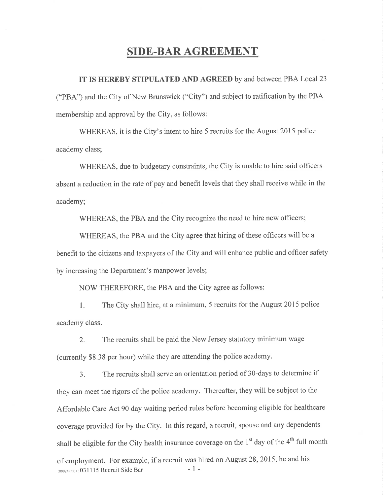## SIDE.BAR AGREEMENT

IT IS HEREBY STIPULATED AND AGREED by and between PBA Local23 ("PBA") and the City of New Brunswick ("City") and subject to ratification by the PBA membership and approval by the City, as follows:

WHEREAS, it is the City's intent to hire 5 recruits for the August 2015 police academy class;

WHEREAS, due to budgetary constraints, the City is unable to hire said officers absent a reduction in the rate of pay and benefit levels that they shall receive while in the academy;

WHEREAS, the PBA and the City recognize the need to hire new officers;

WHEREAS, the PBA and the City agree that hiring of these officers will be <sup>a</sup> benefit to the citizens and taxpayers of the City and will enhance public and officer safety by increasing the Department's manpower levels;

NOW THEREFORE, the PBA and the City agree as follows:

l. The City shall hire, at a minimum, 5 recruits for the August 2015 police academy class.

2. The recruits shall be paid the New Jersey statutory minimum wage (currently \$8.3S per hour) while they are attending the police academy.

3. The recruits shall serve an orientation period of 3O-days to determine if they can meet the rigors of the police academy. Thereafter, they will be subject to the Affordable Care Act 90 day waiting period rules before becoming eligible for healthcare coverage provided for by the City. In this regard, a recruit, spouse and any dependents shall be eligible for the City health insurance coverage on the  $1<sup>st</sup>$  day of the  $4<sup>th</sup>$  full month of employment. For example, if a recruit was hired on August 28,2075, he and his  $\frac{100024355:1}{9031115}$  Recruit Side Bar - 1 -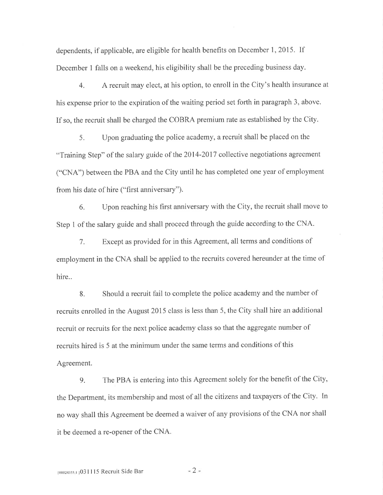dependents, if applicable, are eligible for health benefits on December 1,2015. If December 1 falls on a weekend, his eligibility shall be the preceding business day.

4. A recruit may elect, at his option, to enroll in the City's health insurance at his expense prior to the expiration of the waiting period set forth in paragraph 3, above. If so, the recruit shall be charged the COBRA premium rate as established by the City.

5. Upon graduating the police academy, a recruit shall be placed on the "Training Step" of the salary guide of the 2014-2017 collective negotiations agreement ("CNA") between the PBA and the City until he has completed one year of employment from his date of hire ("first anniversary").

6. Upon reaching his first anniversary with the City, the recruit shall move to Step I of the salary guide and shall proceed through the guide according to the CNA.

7. Except as provided for in this Agreement, all terms and conditions of employment in the CNA shall be applied to the recruits covered hereunder at the time of hire..

8. Should a recruit fail to complete the police academy and the number of recruits enrolled in the August 2015 class is less than 5, the City shall hire an additional recruit or recruits for the next police academy class so that the aggregate number of recruits hired is 5 at the minimum under the same terms and conditions of this Agreement.

9. The PBA is entering into this Agreement solely for the benefit of the City, the Department, its membership and most of all the citizens and taxpayers of the City. In no way shall this Agreement be deemed a waiver of any provisions of the CNA nor shall it be deemed a re-opener of the CNA.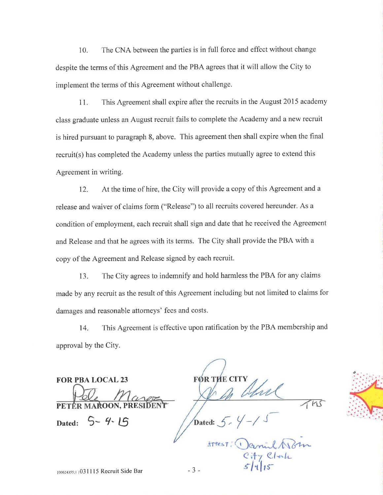10. The CNA between the parties is in full force and effect without change despite the terms of this Agreement and the PBA agrees that it will allow the City to implement the terms of this Agreement without challenge.

<sup>1</sup>1. This Agreement shall expire after the recruits in the August 2015 academy class graduate unless an August recruit fails to complete the Academy and a new recruit is hired pursuant to paragraph 8, above. This agreement then shall expire when the final recruit(s) has completed the Academy unless the parties mutually agree to extend this Agreement in writing.

12. At the time of hire, the City will provide a copy of this Agreement and <sup>a</sup> release and waiver of claims form ("Release") to all recruits covered hereunder. As a condition of employment, each recruit shall sign and date that he received the Agreement and Release and that he agrees with its terms. The City shall provide the PBA with <sup>a</sup> copy of the Agreement and Release signed by each recruit.

13. The City agrees to indemnify and hold harmless the PBA for any claims made by any recruit as the result of this Agreement including but not limited to claims for damages and reasonable attorneys' fees and costs.

14. This Agreement is effective upon ratification by the PBA membership and approval by the City.

FOR PBA LOCAL 23 FØR THE CIT PETÉR MAROON, PRE

Dated:

 $715$  $5 - 4 - 15$  / Dated:  $5 - 4 - 15$ 

9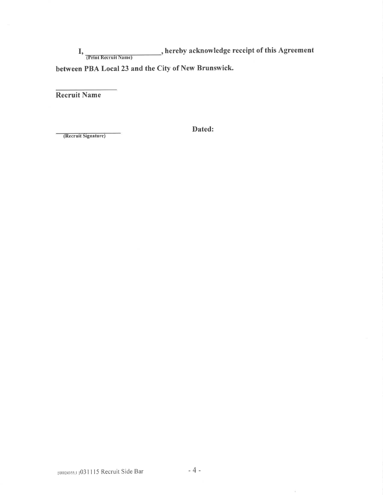I, Trint Recruit Name) hereby acknowledge receipt of this Agreement between PBA Local 23 and the City of New Brunswick.

Recruit Name

Dated:

(Recruit Signature)

 $\bar{1}$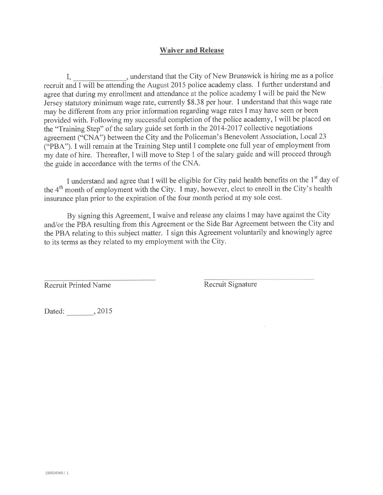## Waiver and Release

I, understand that the City of New Brunswick is hiring me as a police recruit and I will be attending the August 2015 police academy class. I further understand and agree that during my enrollment and attendance at the police academy I will be paid the New Jersey statutory minimum wage rate, currently \$S.38 per hour. I understand that this wage rate may be different from any prior information regarding wage rates I may have seen or been provided with. Following my successful completion of the police academy, I will be placed on the "Training Step" of the salary guide set forth in the 2014-2017 collective negotiations agreement ("CNA") between the City and the Policeman's Benevolent Association, Local 23 ("PBA"). I will remain at the Training Step until I complete one full year of employment from my date of hire. Thereafter, I will move to Step 1 of the salary guide and will proceed through the guide in accordance with the terms of the CNA.

I understand and agree that I will be eligible for City paid health benefits on the 1<sup>st</sup> day of the 4th month of employment with the City. I may, however, elect to enroll in the City's health insurance plan prior to the expiration of the four month period at my sole cost.

By signing this Agreement, I waive and release any claims I may have against the City and/or the PBA resulting from this Agreement or the Side Bar Agreement between the City and the PBA relating to this subject matter. I sign this Agreement voluntarily and knowingly agree to its terms as they related to my employment with the City.

Recruit Printed Name Recruit Signature

Dated: 3,2015